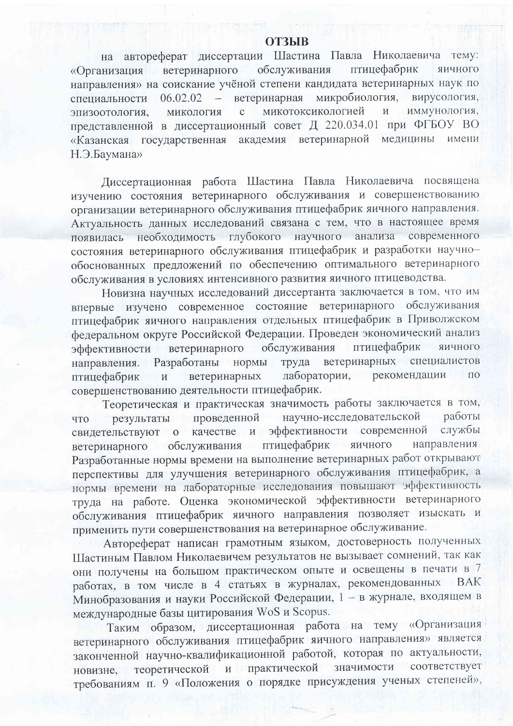## **ОТЗЫВ**

на автореферат диссертации Шастина Павла Николаевича тему: обслуживания птицефабрик ветеринарного яичного «Организация направления» на соискание учёной степени кандидата ветеринарных наук по ветеринарная микробиология, вирусология, 06.02.02 специальности  $\frac{1}{2}$ микотоксикологией иммунология.  $\overline{M}$ микология  $\overline{C}$ эпизоотология. представленной в диссертационный совет Д 220.034.01 при ФГБОУ ВО медицины академия ветеринарной имени «Казанская государственная Н.Э.Баумана»

Диссертационная работа Шастина Павла Николаевича посвящена изучению состояния ветеринарного обслуживания и совершенствованию организации ветеринарного обслуживания птицефабрик яичного направления. Актуальность данных исследований связана с тем, что в настоящее время глубокого научного анализа современного необходимость появилась состояния ветеринарного обслуживания птицефабрик и разработки научнообоснованных предложений по обеспечению оптимального ветеринарного обслуживания в условиях интенсивного развития яичного птицеводства.

Новизна научных исследований диссертанта заключается в том, что им впервые изучено современное состояние ветеринарного обслуживания птицефабрик яичного направления отдельных птицефабрик в Приволжском федеральном округе Российской Федерации. Проведен экономический анализ птицефабрик обслуживания яичного ветеринарного эффективности ветеринарных специалистов направления. Разработаны нормы труда лаборатории, рекомендации ПО ветеринарных птицефабрик  $\overline{\mathbf{M}}$ совершенствованию деятельности птицефабрик.

Теоретическая и практическая значимость работы заключается в том, научно-исследовательской работы проведенной результаты что эффективности современной службы свидетельствуют о качестве  $\mathbf{M}$ птицефабрик направления. ветеринарного обслуживания яичного Разработанные нормы времени на выполнение ветеринарных работ открывают перспективы для улучшения ветеринарного обслуживания птицефабрик, а нормы времени на лабораторные исследования повышают эффективность труда на работе. Оценка экономической эффективности ветеринарного обслуживания птицефабрик яичного направления позволяет изыскать и применить пути совершенствования на ветеринарное обслуживание.

Автореферат написан грамотным языком, достоверность полученных Шастиным Павлом Николаевичем результатов не вызывает сомнений, так как они получены на большом практическом опыте и освещены в печати в 7 работах, в том числе в 4 статьях в журналах, рекомендованных **BAK** Минобразования и науки Российской Федерации, 1 - в журнале, входящем в международные базы цитирования WoS и Scopus.

Таким образом, диссертационная работа на тему «Организация ветеринарного обслуживания птицефабрик яичного направления» является законченной научно-квалификационной работой, которая по актуальности, соответствует теоретической и практической значимости новизне, требованиям п. 9 «Положения о порядке присуждения ученых степеней»,